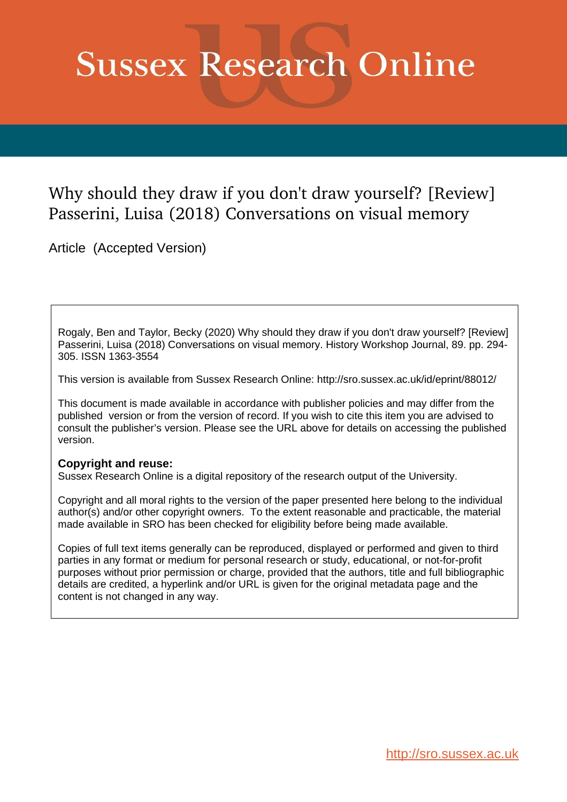## **Sussex Research Online**

## Why should they draw if you don't draw yourself? [Review] Passerini, Luisa (2018) Conversations on visual memory

Article (Accepted Version)

Rogaly, Ben and Taylor, Becky (2020) Why should they draw if you don't draw yourself? [Review] Passerini, Luisa (2018) Conversations on visual memory. History Workshop Journal, 89. pp. 294- 305. ISSN 1363-3554

This version is available from Sussex Research Online: http://sro.sussex.ac.uk/id/eprint/88012/

This document is made available in accordance with publisher policies and may differ from the published version or from the version of record. If you wish to cite this item you are advised to consult the publisher's version. Please see the URL above for details on accessing the published version.

## **Copyright and reuse:**

Sussex Research Online is a digital repository of the research output of the University.

Copyright and all moral rights to the version of the paper presented here belong to the individual author(s) and/or other copyright owners. To the extent reasonable and practicable, the material made available in SRO has been checked for eligibility before being made available.

Copies of full text items generally can be reproduced, displayed or performed and given to third parties in any format or medium for personal research or study, educational, or not-for-profit purposes without prior permission or charge, provided that the authors, title and full bibliographic details are credited, a hyperlink and/or URL is given for the original metadata page and the content is not changed in any way.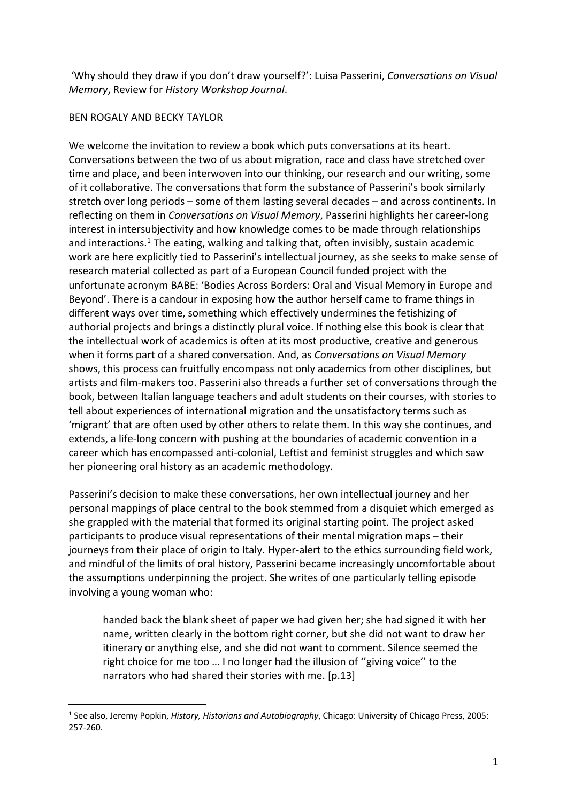'Why should they draw if you don't draw yourself?': Luisa Passerini, *Conversations on Visual Memory*, Review for *History Workshop Journal*.

## BEN ROGALY AND BECKY TAYLOR

We welcome the invitation to review a book which puts conversations at its heart. Conversations between the two of us about migration, race and class have stretched over time and place, and been interwoven into our thinking, our research and our writing, some of it collaborative. The conversations that form the substance of Passerini's book similarly stretch over long periods – some of them lasting several decades – and across continents. In reflecting on them in *Conversations on Visual Memory*, Passerini highlights her career-long interest in intersubjectivity and how knowledge comes to be made through relationships and interactions.<sup>1</sup> The eating, walking and talking that, often invisibly, sustain academic work are here explicitly tied to Passerini's intellectual journey, as she seeks to make sense of research material collected as part of a European Council funded project with the unfortunate acronym BABE: 'Bodies Across Borders: Oral and Visual Memory in Europe and Beyond'. There is a candour in exposing how the author herself came to frame things in different ways over time, something which effectively undermines the fetishizing of authorial projects and brings a distinctly plural voice. If nothing else this book is clear that the intellectual work of academics is often at its most productive, creative and generous when it forms part of a shared conversation. And, as *Conversations on Visual Memory*  shows, this process can fruitfully encompass not only academics from other disciplines, but artists and film-makers too. Passerini also threads a further set of conversations through the book, between Italian language teachers and adult students on their courses, with stories to tell about experiences of international migration and the unsatisfactory terms such as 'migrant' that are often used by other others to relate them. In this way she continues, and extends, a life-long concern with pushing at the boundaries of academic convention in a career which has encompassed anti-colonial, Leftist and feminist struggles and which saw her pioneering oral history as an academic methodology.

Passerini's decision to make these conversations, her own intellectual journey and her personal mappings of place central to the book stemmed from a disquiet which emerged as she grappled with the material that formed its original starting point. The project asked participants to produce visual representations of their mental migration maps – their journeys from their place of origin to Italy. Hyper-alert to the ethics surrounding field work, and mindful of the limits of oral history, Passerini became increasingly uncomfortable about the assumptions underpinning the project. She writes of one particularly telling episode involving a young woman who:

handed back the blank sheet of paper we had given her; she had signed it with her name, written clearly in the bottom right corner, but she did not want to draw her itinerary or anything else, and she did not want to comment. Silence seemed the right choice for me too … I no longer had the illusion of ''giving voice'' to the narrators who had shared their stories with me. [p.13]

<sup>1</sup> See also, Jeremy Popkin, *History, Historians and Autobiography*, Chicago: University of Chicago Press, 2005: 257-260.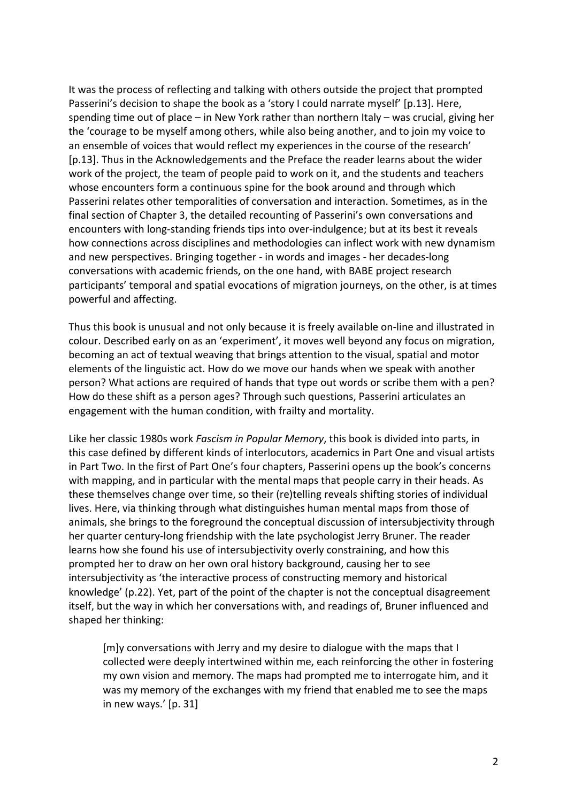It was the process of reflecting and talking with others outside the project that prompted Passerini's decision to shape the book as a 'story I could narrate myself' [p.13]. Here, spending time out of place – in New York rather than northern Italy – was crucial, giving her the 'courage to be myself among others, while also being another, and to join my voice to an ensemble of voices that would reflect my experiences in the course of the research' [p.13]. Thus in the Acknowledgements and the Preface the reader learns about the wider work of the project, the team of people paid to work on it, and the students and teachers whose encounters form a continuous spine for the book around and through which Passerini relates other temporalities of conversation and interaction. Sometimes, as in the final section of Chapter 3, the detailed recounting of Passerini's own conversations and encounters with long-standing friends tips into over-indulgence; but at its best it reveals how connections across disciplines and methodologies can inflect work with new dynamism and new perspectives. Bringing together - in words and images - her decades-long conversations with academic friends, on the one hand, with BABE project research participants' temporal and spatial evocations of migration journeys, on the other, is at times powerful and affecting.

Thus this book is unusual and not only because it is freely available on-line and illustrated in colour. Described early on as an 'experiment', it moves well beyond any focus on migration, becoming an act of textual weaving that brings attention to the visual, spatial and motor elements of the linguistic act. How do we move our hands when we speak with another person? What actions are required of hands that type out words or scribe them with a pen? How do these shift as a person ages? Through such questions, Passerini articulates an engagement with the human condition, with frailty and mortality.

Like her classic 1980s work *Fascism in Popular Memory*, this book is divided into parts, in this case defined by different kinds of interlocutors, academics in Part One and visual artists in Part Two. In the first of Part One's four chapters, Passerini opens up the book's concerns with mapping, and in particular with the mental maps that people carry in their heads. As these themselves change over time, so their (re)telling reveals shifting stories of individual lives. Here, via thinking through what distinguishes human mental maps from those of animals, she brings to the foreground the conceptual discussion of intersubjectivity through her quarter century-long friendship with the late psychologist Jerry Bruner. The reader learns how she found his use of intersubjectivity overly constraining, and how this prompted her to draw on her own oral history background, causing her to see intersubjectivity as 'the interactive process of constructing memory and historical knowledge' (p.22). Yet, part of the point of the chapter is not the conceptual disagreement itself, but the way in which her conversations with, and readings of, Bruner influenced and shaped her thinking:

[m]y conversations with Jerry and my desire to dialogue with the maps that I collected were deeply intertwined within me, each reinforcing the other in fostering my own vision and memory. The maps had prompted me to interrogate him, and it was my memory of the exchanges with my friend that enabled me to see the maps in new ways.' [p. 31]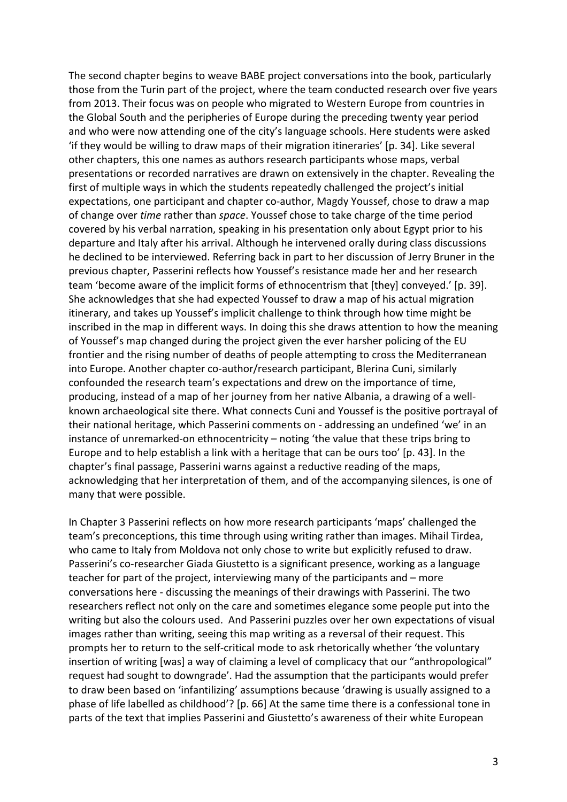The second chapter begins to weave BABE project conversations into the book, particularly those from the Turin part of the project, where the team conducted research over five years from 2013. Their focus was on people who migrated to Western Europe from countries in the Global South and the peripheries of Europe during the preceding twenty year period and who were now attending one of the city's language schools. Here students were asked 'if they would be willing to draw maps of their migration itineraries' [p. 34]. Like several other chapters, this one names as authors research participants whose maps, verbal presentations or recorded narratives are drawn on extensively in the chapter. Revealing the first of multiple ways in which the students repeatedly challenged the project's initial expectations, one participant and chapter co-author, Magdy Youssef, chose to draw a map of change over *time* rather than *space*. Youssef chose to take charge of the time period covered by his verbal narration, speaking in his presentation only about Egypt prior to his departure and Italy after his arrival. Although he intervened orally during class discussions he declined to be interviewed. Referring back in part to her discussion of Jerry Bruner in the previous chapter, Passerini reflects how Youssef's resistance made her and her research team 'become aware of the implicit forms of ethnocentrism that [they] conveyed.' [p. 39]. She acknowledges that she had expected Youssef to draw a map of his actual migration itinerary, and takes up Youssef's implicit challenge to think through how time might be inscribed in the map in different ways. In doing this she draws attention to how the meaning of Youssef's map changed during the project given the ever harsher policing of the EU frontier and the rising number of deaths of people attempting to cross the Mediterranean into Europe. Another chapter co-author/research participant, Blerina Cuni, similarly confounded the research team's expectations and drew on the importance of time, producing, instead of a map of her journey from her native Albania, a drawing of a wellknown archaeological site there. What connects Cuni and Youssef is the positive portrayal of their national heritage, which Passerini comments on - addressing an undefined 'we' in an instance of unremarked-on ethnocentricity – noting 'the value that these trips bring to Europe and to help establish a link with a heritage that can be ours too' [p. 43]. In the chapter's final passage, Passerini warns against a reductive reading of the maps, acknowledging that her interpretation of them, and of the accompanying silences, is one of many that were possible.

In Chapter 3 Passerini reflects on how more research participants 'maps' challenged the team's preconceptions, this time through using writing rather than images. Mihail Tirdea, who came to Italy from Moldova not only chose to write but explicitly refused to draw. Passerini's co-researcher Giada Giustetto is a significant presence, working as a language teacher for part of the project, interviewing many of the participants and – more conversations here - discussing the meanings of their drawings with Passerini. The two researchers reflect not only on the care and sometimes elegance some people put into the writing but also the colours used. And Passerini puzzles over her own expectations of visual images rather than writing, seeing this map writing as a reversal of their request. This prompts her to return to the self-critical mode to ask rhetorically whether 'the voluntary insertion of writing [was] a way of claiming a level of complicacy that our "anthropological" request had sought to downgrade'. Had the assumption that the participants would prefer to draw been based on 'infantilizing' assumptions because 'drawing is usually assigned to a phase of life labelled as childhood'? [p. 66] At the same time there is a confessional tone in parts of the text that implies Passerini and Giustetto's awareness of their white European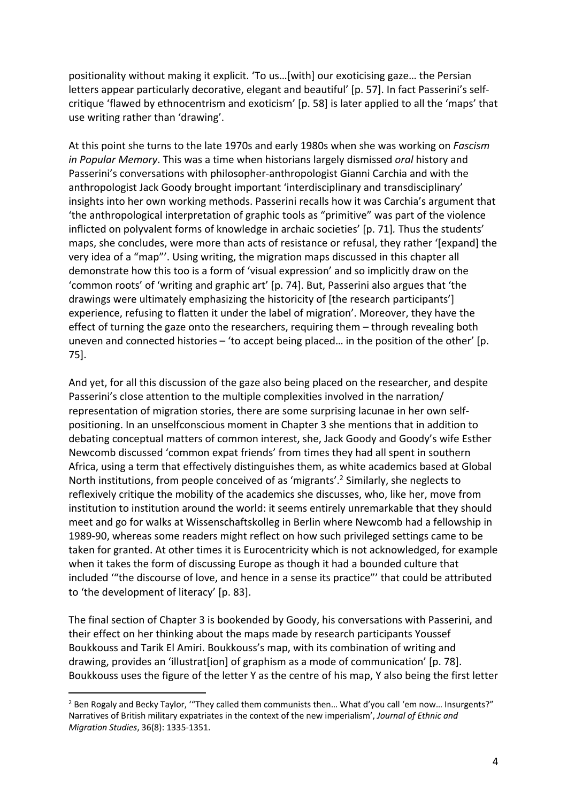positionality without making it explicit. 'To us…[with] our exoticising gaze… the Persian letters appear particularly decorative, elegant and beautiful' [p. 57]. In fact Passerini's selfcritique 'flawed by ethnocentrism and exoticism' [p. 58] is later applied to all the 'maps' that use writing rather than 'drawing'.

At this point she turns to the late 1970s and early 1980s when she was working on *Fascism in Popular Memory*. This was a time when historians largely dismissed *oral* history and Passerini's conversations with philosopher-anthropologist Gianni Carchia and with the anthropologist Jack Goody brought important 'interdisciplinary and transdisciplinary' insights into her own working methods. Passerini recalls how it was Carchia's argument that 'the anthropological interpretation of graphic tools as "primitive" was part of the violence inflicted on polyvalent forms of knowledge in archaic societies' [p. 71]*.* Thus the students' maps, she concludes, were more than acts of resistance or refusal, they rather '[expand] the very idea of a "map"'. Using writing, the migration maps discussed in this chapter all demonstrate how this too is a form of 'visual expression' and so implicitly draw on the 'common roots' of 'writing and graphic art' [p. 74]. But, Passerini also argues that 'the drawings were ultimately emphasizing the historicity of [the research participants'] experience, refusing to flatten it under the label of migration'. Moreover, they have the effect of turning the gaze onto the researchers, requiring them – through revealing both uneven and connected histories – 'to accept being placed… in the position of the other' [p. 75].

And yet, for all this discussion of the gaze also being placed on the researcher, and despite Passerini's close attention to the multiple complexities involved in the narration/ representation of migration stories, there are some surprising lacunae in her own selfpositioning. In an unselfconscious moment in Chapter 3 she mentions that in addition to debating conceptual matters of common interest, she, Jack Goody and Goody's wife Esther Newcomb discussed 'common expat friends' from times they had all spent in southern Africa, using a term that effectively distinguishes them, as white academics based at Global North institutions, from people conceived of as 'migrants'.<sup>2</sup> Similarly, she neglects to reflexively critique the mobility of the academics she discusses, who, like her, move from institution to institution around the world: it seems entirely unremarkable that they should meet and go for walks at Wissenschaftskolleg in Berlin where Newcomb had a fellowship in 1989-90, whereas some readers might reflect on how such privileged settings came to be taken for granted. At other times it is Eurocentricity which is not acknowledged, for example when it takes the form of discussing Europe as though it had a bounded culture that included '"the discourse of love, and hence in a sense its practice"' that could be attributed to 'the development of literacy' [p. 83].

The final section of Chapter 3 is bookended by Goody, his conversations with Passerini, and their effect on her thinking about the maps made by research participants Youssef Boukkouss and Tarik El Amiri. Boukkouss's map, with its combination of writing and drawing, provides an 'illustrat[ion] of graphism as a mode of communication' [p. 78]. Boukkouss uses the figure of the letter Y as the centre of his map, Y also being the first letter

<sup>&</sup>lt;sup>2</sup> Ben Rogaly and Becky Taylor, "They called them communists then... What d'you call 'em now... Insurgents?" Narratives of British military expatriates in the context of the new imperialism', *Journal of Ethnic and Migration Studies*, 36(8): 1335-1351.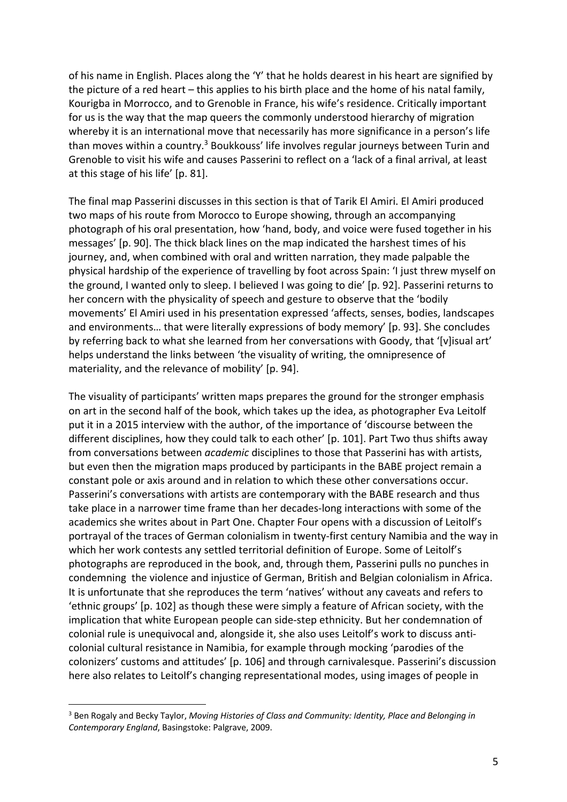of his name in English. Places along the 'Y' that he holds dearest in his heart are signified by the picture of a red heart – this applies to his birth place and the home of his natal family, Kourigba in Morrocco, and to Grenoble in France, his wife's residence. Critically important for us is the way that the map queers the commonly understood hierarchy of migration whereby it is an international move that necessarily has more significance in a person's life than moves within a country.<sup>3</sup> Boukkouss' life involves regular journeys between Turin and Grenoble to visit his wife and causes Passerini to reflect on a 'lack of a final arrival, at least at this stage of his life' [p. 81].

The final map Passerini discusses in this section is that of Tarik El Amiri. El Amiri produced two maps of his route from Morocco to Europe showing, through an accompanying photograph of his oral presentation, how 'hand, body, and voice were fused together in his messages' [p. 90]. The thick black lines on the map indicated the harshest times of his journey, and, when combined with oral and written narration, they made palpable the physical hardship of the experience of travelling by foot across Spain: 'I just threw myself on the ground, I wanted only to sleep. I believed I was going to die' [p. 92]. Passerini returns to her concern with the physicality of speech and gesture to observe that the 'bodily movements' El Amiri used in his presentation expressed 'affects, senses, bodies, landscapes and environments… that were literally expressions of body memory' [p. 93]. She concludes by referring back to what she learned from her conversations with Goody, that '[v]isual art' helps understand the links between 'the visuality of writing, the omnipresence of materiality, and the relevance of mobility' [p. 94].

The visuality of participants' written maps prepares the ground for the stronger emphasis on art in the second half of the book, which takes up the idea, as photographer Eva Leitolf put it in a 2015 interview with the author, of the importance of 'discourse between the different disciplines, how they could talk to each other' [p. 101]. Part Two thus shifts away from conversations between *academic* disciplines to those that Passerini has with artists, but even then the migration maps produced by participants in the BABE project remain a constant pole or axis around and in relation to which these other conversations occur. Passerini's conversations with artists are contemporary with the BABE research and thus take place in a narrower time frame than her decades-long interactions with some of the academics she writes about in Part One. Chapter Four opens with a discussion of Leitolf's portrayal of the traces of German colonialism in twenty-first century Namibia and the way in which her work contests any settled territorial definition of Europe. Some of Leitolf's photographs are reproduced in the book, and, through them, Passerini pulls no punches in condemning the violence and injustice of German, British and Belgian colonialism in Africa. It is unfortunate that she reproduces the term 'natives' without any caveats and refers to 'ethnic groups' [p. 102] as though these were simply a feature of African society, with the implication that white European people can side-step ethnicity. But her condemnation of colonial rule is unequivocal and, alongside it, she also uses Leitolf's work to discuss anticolonial cultural resistance in Namibia, for example through mocking 'parodies of the colonizers' customs and attitudes' [p. 106] and through carnivalesque. Passerini's discussion here also relates to Leitolf's changing representational modes, using images of people in

<sup>3</sup> Ben Rogaly and Becky Taylor, *Moving Histories of Class and Community: Identity, Place and Belonging in Contemporary England*, Basingstoke: Palgrave, 2009.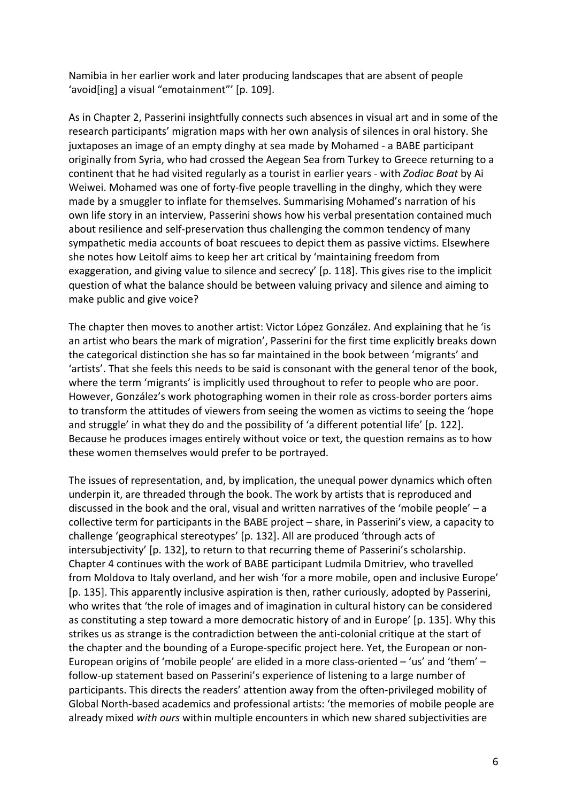Namibia in her earlier work and later producing landscapes that are absent of people 'avoid[ing] a visual "emotainment"' [p. 109].

As in Chapter 2, Passerini insightfully connects such absences in visual art and in some of the research participants' migration maps with her own analysis of silences in oral history. She juxtaposes an image of an empty dinghy at sea made by Mohamed - a BABE participant originally from Syria, who had crossed the Aegean Sea from Turkey to Greece returning to a continent that he had visited regularly as a tourist in earlier years - with *Zodiac Boat* by Ai Weiwei. Mohamed was one of forty-five people travelling in the dinghy, which they were made by a smuggler to inflate for themselves. Summarising Mohamed's narration of his own life story in an interview, Passerini shows how his verbal presentation contained much about resilience and self-preservation thus challenging the common tendency of many sympathetic media accounts of boat rescuees to depict them as passive victims. Elsewhere she notes how Leitolf aims to keep her art critical by 'maintaining freedom from exaggeration, and giving value to silence and secrecy' [p. 118]. This gives rise to the implicit question of what the balance should be between valuing privacy and silence and aiming to make public and give voice?

The chapter then moves to another artist: Victor López González. And explaining that he 'is an artist who bears the mark of migration', Passerini for the first time explicitly breaks down the categorical distinction she has so far maintained in the book between 'migrants' and 'artists'. That she feels this needs to be said is consonant with the general tenor of the book, where the term 'migrants' is implicitly used throughout to refer to people who are poor. However, González's work photographing women in their role as cross-border porters aims to transform the attitudes of viewers from seeing the women as victims to seeing the 'hope and struggle' in what they do and the possibility of 'a different potential life' [p. 122]. Because he produces images entirely without voice or text, the question remains as to how these women themselves would prefer to be portrayed.

The issues of representation, and, by implication, the unequal power dynamics which often underpin it, are threaded through the book. The work by artists that is reproduced and discussed in the book and the oral, visual and written narratives of the 'mobile people' – a collective term for participants in the BABE project – share, in Passerini's view, a capacity to challenge 'geographical stereotypes' [p. 132]. All are produced 'through acts of intersubjectivity' [p. 132], to return to that recurring theme of Passerini's scholarship. Chapter 4 continues with the work of BABE participant Ludmila Dmitriev, who travelled from Moldova to Italy overland, and her wish 'for a more mobile, open and inclusive Europe' [p. 135]. This apparently inclusive aspiration is then, rather curiously, adopted by Passerini, who writes that 'the role of images and of imagination in cultural history can be considered as constituting a step toward a more democratic history of and in Europe' [p. 135]. Why this strikes us as strange is the contradiction between the anti-colonial critique at the start of the chapter and the bounding of a Europe-specific project here. Yet, the European or non-European origins of 'mobile people' are elided in a more class-oriented – 'us' and 'them' – follow-up statement based on Passerini's experience of listening to a large number of participants. This directs the readers' attention away from the often-privileged mobility of Global North-based academics and professional artists: 'the memories of mobile people are already mixed *with ours* within multiple encounters in which new shared subjectivities are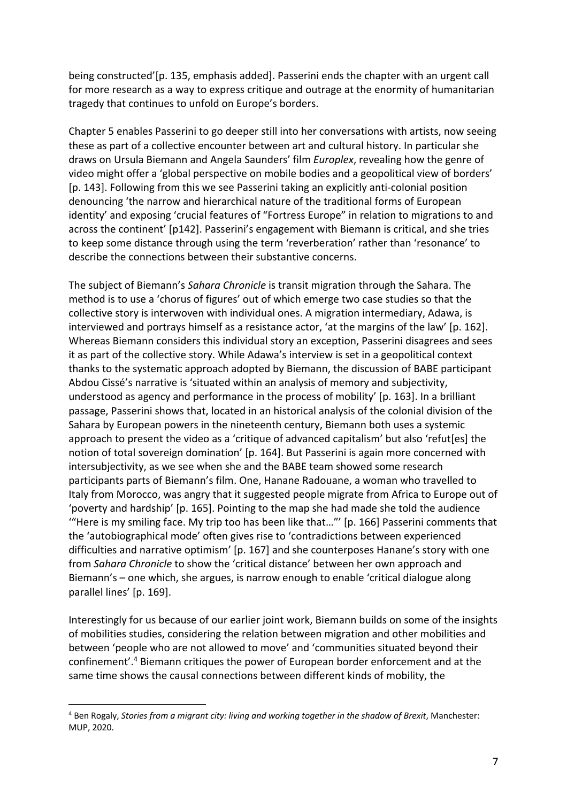being constructed'[p. 135, emphasis added]. Passerini ends the chapter with an urgent call for more research as a way to express critique and outrage at the enormity of humanitarian tragedy that continues to unfold on Europe's borders.

Chapter 5 enables Passerini to go deeper still into her conversations with artists, now seeing these as part of a collective encounter between art and cultural history. In particular she draws on Ursula Biemann and Angela Saunders' film *Europlex*, revealing how the genre of video might offer a 'global perspective on mobile bodies and a geopolitical view of borders' [p. 143]. Following from this we see Passerini taking an explicitly anti-colonial position denouncing 'the narrow and hierarchical nature of the traditional forms of European identity' and exposing 'crucial features of "Fortress Europe" in relation to migrations to and across the continent' [p142]. Passerini's engagement with Biemann is critical, and she tries to keep some distance through using the term 'reverberation' rather than 'resonance' to describe the connections between their substantive concerns.

The subject of Biemann's *Sahara Chronicle* is transit migration through the Sahara. The method is to use a 'chorus of figures' out of which emerge two case studies so that the collective story is interwoven with individual ones. A migration intermediary, Adawa, is interviewed and portrays himself as a resistance actor, 'at the margins of the law' [p. 162]. Whereas Biemann considers this individual story an exception, Passerini disagrees and sees it as part of the collective story. While Adawa's interview is set in a geopolitical context thanks to the systematic approach adopted by Biemann, the discussion of BABE participant Abdou Cissé's narrative is 'situated within an analysis of memory and subjectivity, understood as agency and performance in the process of mobility' [p. 163]. In a brilliant passage, Passerini shows that, located in an historical analysis of the colonial division of the Sahara by European powers in the nineteenth century, Biemann both uses a systemic approach to present the video as a 'critique of advanced capitalism' but also 'refut[es] the notion of total sovereign domination' [p. 164]. But Passerini is again more concerned with intersubjectivity, as we see when she and the BABE team showed some research participants parts of Biemann's film. One, Hanane Radouane, a woman who travelled to Italy from Morocco, was angry that it suggested people migrate from Africa to Europe out of 'poverty and hardship' [p. 165]. Pointing to the map she had made she told the audience '"Here is my smiling face. My trip too has been like that…"' [p. 166] Passerini comments that the 'autobiographical mode' often gives rise to 'contradictions between experienced difficulties and narrative optimism' [p. 167] and she counterposes Hanane's story with one from *Sahara Chronicle* to show the 'critical distance' between her own approach and Biemann's – one which, she argues, is narrow enough to enable 'critical dialogue along parallel lines' [p. 169].

Interestingly for us because of our earlier joint work, Biemann builds on some of the insights of mobilities studies, considering the relation between migration and other mobilities and between 'people who are not allowed to move' and 'communities situated beyond their confinement'.4 Biemann critiques the power of European border enforcement and at the same time shows the causal connections between different kinds of mobility, the

<sup>4</sup> Ben Rogaly, *Stories from a migrant city: living and working together in the shadow of Brexit*, Manchester: MUP, 2020.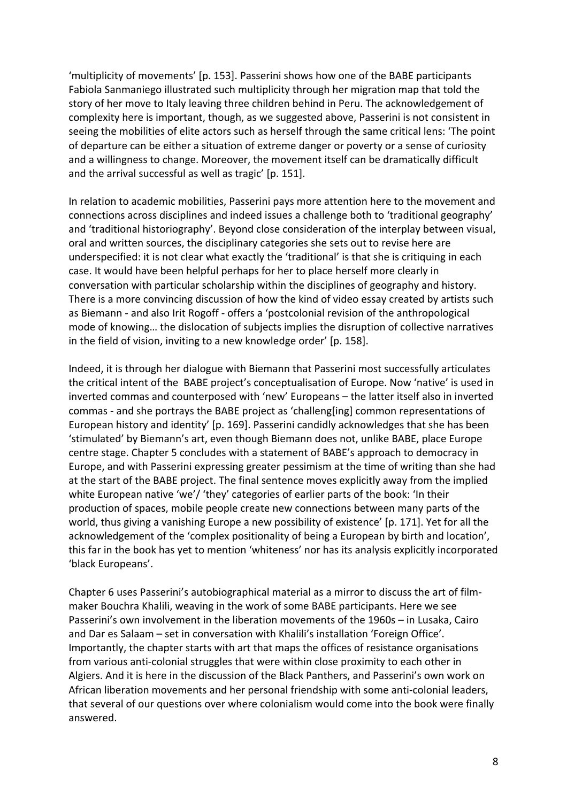'multiplicity of movements' [p. 153]. Passerini shows how one of the BABE participants Fabiola Sanmaniego illustrated such multiplicity through her migration map that told the story of her move to Italy leaving three children behind in Peru. The acknowledgement of complexity here is important, though, as we suggested above, Passerini is not consistent in seeing the mobilities of elite actors such as herself through the same critical lens: 'The point of departure can be either a situation of extreme danger or poverty or a sense of curiosity and a willingness to change. Moreover, the movement itself can be dramatically difficult and the arrival successful as well as tragic' [p. 151].

In relation to academic mobilities, Passerini pays more attention here to the movement and connections across disciplines and indeed issues a challenge both to 'traditional geography' and 'traditional historiography'. Beyond close consideration of the interplay between visual, oral and written sources, the disciplinary categories she sets out to revise here are underspecified: it is not clear what exactly the 'traditional' is that she is critiquing in each case. It would have been helpful perhaps for her to place herself more clearly in conversation with particular scholarship within the disciplines of geography and history. There is a more convincing discussion of how the kind of video essay created by artists such as Biemann - and also Irit Rogoff - offers a 'postcolonial revision of the anthropological mode of knowing… the dislocation of subjects implies the disruption of collective narratives in the field of vision, inviting to a new knowledge order' [p. 158].

Indeed, it is through her dialogue with Biemann that Passerini most successfully articulates the critical intent of the BABE project's conceptualisation of Europe. Now 'native' is used in inverted commas and counterposed with 'new' Europeans – the latter itself also in inverted commas - and she portrays the BABE project as 'challeng[ing] common representations of European history and identity' [p. 169]. Passerini candidly acknowledges that she has been 'stimulated' by Biemann's art, even though Biemann does not, unlike BABE, place Europe centre stage. Chapter 5 concludes with a statement of BABE's approach to democracy in Europe, and with Passerini expressing greater pessimism at the time of writing than she had at the start of the BABE project. The final sentence moves explicitly away from the implied white European native 'we'/ 'they' categories of earlier parts of the book: 'In their production of spaces, mobile people create new connections between many parts of the world, thus giving a vanishing Europe a new possibility of existence' [p. 171]. Yet for all the acknowledgement of the 'complex positionality of being a European by birth and location', this far in the book has yet to mention 'whiteness' nor has its analysis explicitly incorporated 'black Europeans'.

Chapter 6 uses Passerini's autobiographical material as a mirror to discuss the art of filmmaker Bouchra Khalili, weaving in the work of some BABE participants. Here we see Passerini's own involvement in the liberation movements of the 1960s – in Lusaka, Cairo and Dar es Salaam – set in conversation with Khalili's installation 'Foreign Office'. Importantly, the chapter starts with art that maps the offices of resistance organisations from various anti-colonial struggles that were within close proximity to each other in Algiers. And it is here in the discussion of the Black Panthers, and Passerini's own work on African liberation movements and her personal friendship with some anti-colonial leaders, that several of our questions over where colonialism would come into the book were finally answered.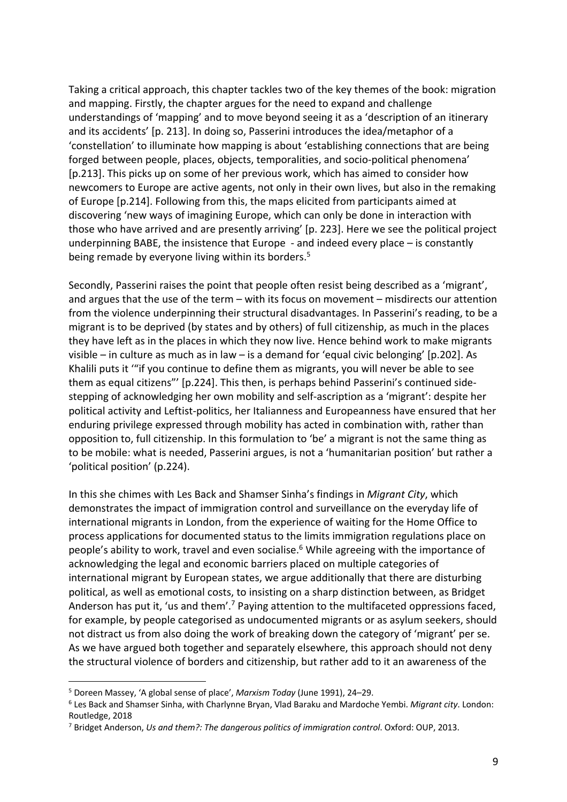Taking a critical approach, this chapter tackles two of the key themes of the book: migration and mapping. Firstly, the chapter argues for the need to expand and challenge understandings of 'mapping' and to move beyond seeing it as a 'description of an itinerary and its accidents' [p. 213]. In doing so, Passerini introduces the idea/metaphor of a 'constellation' to illuminate how mapping is about 'establishing connections that are being forged between people, places, objects, temporalities, and socio-political phenomena' [p.213]. This picks up on some of her previous work, which has aimed to consider how newcomers to Europe are active agents, not only in their own lives, but also in the remaking of Europe [p.214]. Following from this, the maps elicited from participants aimed at discovering 'new ways of imagining Europe, which can only be done in interaction with those who have arrived and are presently arriving' [p. 223]. Here we see the political project underpinning BABE, the insistence that Europe - and indeed every place – is constantly being remade by everyone living within its borders.<sup>5</sup>

Secondly, Passerini raises the point that people often resist being described as a 'migrant', and argues that the use of the term – with its focus on movement – misdirects our attention from the violence underpinning their structural disadvantages. In Passerini's reading, to be a migrant is to be deprived (by states and by others) of full citizenship, as much in the places they have left as in the places in which they now live. Hence behind work to make migrants visible – in culture as much as in law – is a demand for 'equal civic belonging' [p.202]. As Khalili puts it '"if you continue to define them as migrants, you will never be able to see them as equal citizens"' [p.224]. This then, is perhaps behind Passerini's continued sidestepping of acknowledging her own mobility and self-ascription as a 'migrant': despite her political activity and Leftist-politics, her Italianness and Europeanness have ensured that her enduring privilege expressed through mobility has acted in combination with, rather than opposition to, full citizenship. In this formulation to 'be' a migrant is not the same thing as to be mobile: what is needed, Passerini argues, is not a 'humanitarian position' but rather a 'political position' (p.224).

In this she chimes with Les Back and Shamser Sinha's findings in *Migrant City*, which demonstrates the impact of immigration control and surveillance on the everyday life of international migrants in London, from the experience of waiting for the Home Office to process applications for documented status to the limits immigration regulations place on people's ability to work, travel and even socialise.<sup>6</sup> While agreeing with the importance of acknowledging the legal and economic barriers placed on multiple categories of international migrant by European states, we argue additionally that there are disturbing political, as well as emotional costs, to insisting on a sharp distinction between, as Bridget Anderson has put it, 'us and them'.<sup>7</sup> Paying attention to the multifaceted oppressions faced, for example, by people categorised as undocumented migrants or as asylum seekers, should not distract us from also doing the work of breaking down the category of 'migrant' per se. As we have argued both together and separately elsewhere, this approach should not deny the structural violence of borders and citizenship, but rather add to it an awareness of the

<sup>5</sup> Doreen Massey, 'A global sense of place', *Marxism Today* (June 1991), 24–29. 6 Les Back and Shamser Sinha, with Charlynne Bryan, Vlad Baraku and Mardoche Yembi. *Migrant city*. London: Routledge, 2018

<sup>7</sup> Bridget Anderson, *Us and them?: The dangerous politics of immigration control*. Oxford: OUP, 2013.